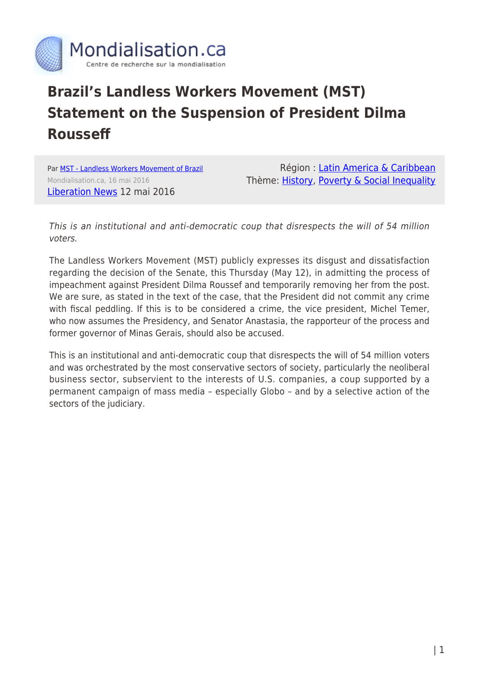

## **Brazil's Landless Workers Movement (MST) Statement on the Suspension of President Dilma Rousseff**

Par [MST - Landless Workers Movement of Brazil](https://www.mondialisation.ca/author/mst-landless-workers-movement-of-brazil) Mondialisation.ca, 16 mai 2016 [Liberation News](https://www.liberationnews.org/mst-statement-suspension-president-dilma-rousseff/) 12 mai 2016

Région : [Latin America & Caribbean](https://www.mondialisation.ca/region/latin-america-caribbean) Thème: [History](https://www.mondialisation.ca/theme/culture-society-history), [Poverty & Social Inequality](https://www.mondialisation.ca/theme/poverty-social-inequality)

This is an institutional and anti-democratic coup that disrespects the will of 54 million voters.

The Landless Workers Movement (MST) publicly expresses its disgust and dissatisfaction regarding the decision of the Senate, this Thursday (May 12), in admitting the process of impeachment against President Dilma Roussef and temporarily removing her from the post. We are sure, as stated in the text of the case, that the President did not commit any crime with fiscal peddling. If this is to be considered a crime, the vice president, Michel Temer, who now assumes the Presidency, and Senator Anastasia, the rapporteur of the process and former governor of Minas Gerais, should also be accused.

This is an institutional and anti-democratic coup that disrespects the will of 54 million voters and was orchestrated by the most conservative sectors of society, particularly the neoliberal business sector, subservient to the interests of U.S. companies, a coup supported by a permanent campaign of mass media – especially Globo – and by a selective action of the sectors of the judiciary.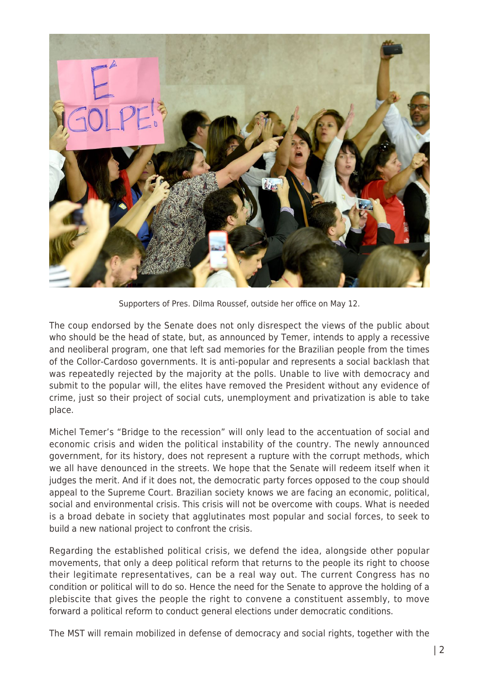

Supporters of Pres. Dilma Roussef, outside her office on May 12.

The coup endorsed by the Senate does not only disrespect the views of the public about who should be the head of state, but, as announced by Temer, intends to apply a recessive and neoliberal program, one that left sad memories for the Brazilian people from the times of the Collor-Cardoso governments. It is anti-popular and represents a social backlash that was repeatedly rejected by the majority at the polls. Unable to live with democracy and submit to the popular will, the elites have removed the President without any evidence of crime, just so their project of social cuts, unemployment and privatization is able to take place.

Michel Temer's "Bridge to the recession" will only lead to the accentuation of social and economic crisis and widen the political instability of the country. The newly announced government, for its history, does not represent a rupture with the corrupt methods, which we all have denounced in the streets. We hope that the Senate will redeem itself when it judges the merit. And if it does not, the democratic party forces opposed to the coup should appeal to the Supreme Court. Brazilian society knows we are facing an economic, political, social and environmental crisis. This crisis will not be overcome with coups. What is needed is a broad debate in society that agglutinates most popular and social forces, to seek to build a new national project to confront the crisis.

Regarding the established political crisis, we defend the idea, alongside other popular movements, that only a deep political reform that returns to the people its right to choose their legitimate representatives, can be a real way out. The current Congress has no condition or political will to do so. Hence the need for the Senate to approve the holding of a plebiscite that gives the people the right to convene a constituent assembly, to move forward a political reform to conduct general elections under democratic conditions.

The MST will remain mobilized in defense of democracy and social rights, together with the